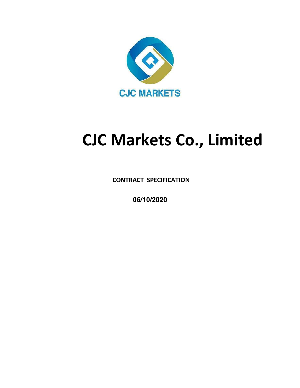

## **CJC Markets Co., Limited**

**CONTRACT SPECIFICATION**

**06/10/2020**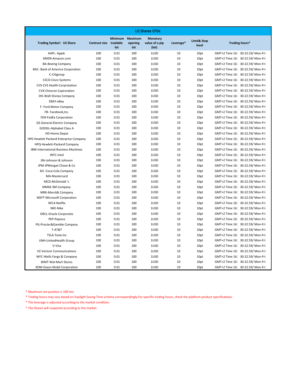| <b>Trading Symbol: US Share</b>            | Contract size tradable | <b>Minimum</b><br>lot | Maximum<br>opening<br>lot | <b>Monetary</b><br>value of a pip<br>$($ lot $)$ | Leverage* | <b>Limit&amp; Stop</b><br>level | Trading hours*                   |
|--------------------------------------------|------------------------|-----------------------|---------------------------|--------------------------------------------------|-----------|---------------------------------|----------------------------------|
| AAPL-Apple                                 | 100                    | 0.01                  | 100                       | 1USD                                             | 10        | 10pt                            | GMT+2 Time 16: 30-22.59/ Mon-Fri |
| AMZN-Amazon.com                            | 100                    | 0.01                  | 100                       | 1USD                                             | 10        | 10pt                            | GMT+2 Time 16: 30-22.59/ Mon-Fri |
| <b>BA-Boeing Company</b>                   | 100                    | 0.01                  | 100                       | 1USD                                             | 10        | 10pt                            | GMT+2 Time 16: 30-22.59/ Mon-Fri |
| BAC- Bank of America Corporation           | 100                    | 0.01                  | 100                       | 1USD                                             | 10        | 10pt                            | GMT+2 Time 16: 30-22.59/ Mon-Fri |
| C-Citigroup                                | 100                    | 0.01                  | 100                       | 1USD                                             | 10        | 10pt                            | GMT+2 Time 16: 30-22.59/ Mon-Fri |
| <b>CSCO-Cisco Systems</b>                  | 100                    | 0.01                  | 100                       | 1USD                                             | 10        | 10pt                            | GMT+2 Time 16: 30-22.59/ Mon-Fri |
| <b>CVS-CVS Health Corprotation</b>         | 100                    | 0.01                  | 100                       | 1USD                                             | 10        | 10pt                            | GMT+2 Time 16: 30-22.59/ Mon-Fri |
| <b>CVX-Chevron Coproration</b>             | 100                    | 0.01                  | 100                       | 1USD                                             | 10        | 10pt                            | GMT+2 Time 16: 30-22.59/ Mon-Fri |
| DIS-Walt Disney Company                    | 100                    | 0.01                  | 100                       | 1USD                                             | 10        | 10pt                            | GMT+2 Time 16: 30-22.59/ Mon-Fri |
| EBAY-eBay                                  | 100                    | 0.01                  | 100                       | 1USD                                             | 10        | 10pt                            | GMT+2 Time 16: 30-22.59/ Mon-Fri |
| F-Ford Motor Company                       | 100                    | 0.01                  | 100                       | 1USD                                             | 10        | 10pt                            | GMT+2 Time 16: 30-22.59/ Mon-Fri |
| FB- Facebook, Inc.                         | 100                    | 0.01                  | 100                       | 1USD                                             | 10        | 10pt                            | GMT+2 Time 16: 30-22.59/ Mon-Fri |
| FDX-FedEx Corporation                      | 100                    | 0.01                  | 100                       | 1USD                                             | 10        | 10pt                            | GMT+2 Time 16: 30-22.59/ Mon-Fri |
| <b>GE-General Electric Company</b>         | 100                    | 0.01                  | 100                       | 1USD                                             | 10        | 10pt                            | GMT+2 Time 16: 30-22.59/ Mon-Fri |
| GOOGL-Alphabet Class A                     | 100                    | 0.01                  | 100                       | 1USD                                             | 10        | 10pt                            | GMT+2 Time 16: 30-22.59/ Mon-Fri |
| <b>HD-Home Depot</b>                       | 100                    | 0.01                  | 100                       | 1USD                                             | 10        | 10pt                            | GMT+2 Time 16: 30-22.59/ Mon-Fri |
| HPE-Hewlett Packard Enterprise Company     | 100                    | 0.01                  | 100                       | 1USD                                             | 10        | 10pt                            | GMT+2 Time 16: 30-22.59/ Mon-Fri |
| HPQ-Hewlett-Packard Company                | 100                    | 0.01                  | 100                       | 1USD                                             | 10        | 10pt                            | GMT+2 Time 16: 30-22.59/ Mon-Fri |
| <b>IBM-International Business Machines</b> | 100                    | 0.01                  | 100                       | 1USD                                             | 10        | 10pt                            | GMT+2 Time 16: 30-22.59/ Mon-Fri |
| <b>INTC-Intel</b>                          | 100                    | 0.01                  | 100                       | 1USD                                             | 10        | 10pt                            | GMT+2 Time 16: 30-22.59/ Mon-Fri |
| JNJ-Johnson & Johnson                      | 100                    | 0.01                  | 100                       | 1USD                                             | 10        | 10pt                            | GMT+2 Time 16: 30-22.59/ Mon-Fri |
| JPM-JPMorgan Chase & Co                    | 100                    | 0.01                  | 100                       | 1USD                                             | 10        | 10pt                            | GMT+2 Time 16: 30-22.59/ Mon-Fri |
| KO-Coca-Cola Company                       | 100                    | 0.01                  | 100                       | 1USD                                             | 10        | 10pt                            | GMT+2 Time 16: 30-22.59/ Mon-Fri |
| MA-Mastercard                              | 100                    | 0.01                  | 100                       | 1USD                                             | 10        | 10pt                            | GMT+2 Time 16: 30-22.59/ Mon-Fri |
| MCD-McDonald's                             | 100                    | 0.01                  | 100                       | 1USD                                             | 10        | 10pt                            | GMT+2 Time 16: 30-22.59/ Mon-Fri |
| MMM-3M Company                             | 100                    | 0.01                  | 100                       | 1USD                                             | 10        | 10pt                            | GMT+2 Time 16: 30-22.59/ Mon-Fri |
| MRK-Merck& Company                         | 100                    | 0.01                  | 100                       | 1USD                                             | 10        | 10pt                            | GMT+2 Time 16: 30-22.59/ Mon-Fri |
| <b>MSFT-Microsoft Corporation</b>          | 100                    | 0.01                  | 100                       | 1USD                                             | 10        | 10pt                            | GMT+2 Time 16: 30-22.59/ Mon-Fri |
| NFLX-Netflix                               | 100                    | 0.01                  | 100                       | 1USD                                             | 10        | 10pt                            | GMT+2 Time 16: 30-22.59/ Mon-Fri |
| NKE-Nike                                   | 100                    | 0.01                  | 100                       | 1USD                                             | 10        | 10pt                            | GMT+2 Time 16: 30-22.59/ Mon-Fri |
| <b>ORCL-Oracle Corporatio</b>              | 100                    | 0.01                  | 100                       | 1USD                                             | 10        | 10pt                            | GMT+2 Time 16: 30-22.59/ Mon-Fri |
| PEP-Pepsico                                | 100                    | 0.01                  | 100                       | 1USD                                             | 10        | 10pt                            | GMT+2 Time 16: 30-22.59/ Mon-Fri |
| PG-Procter&Gamble Company                  | 100                    | 0.01                  | 100                       | 1USD                                             | 10        | 10pt                            | GMT+2 Time 16: 30-22.59/ Mon-Fri |
| T-AT&T                                     | 100                    | 0.01                  | 100                       | 1USD                                             | 10        | 10pt                            | GMT+2 Time 16: 30-22.59/ Mon-Fri |
| <b>TSLA-Tesla Inc</b>                      | 100                    | 0.01                  | 100                       | 1USD                                             | 10        | 10pt                            | GMT+2 Time 16: 30-22.59/ Mon-Fri |
| UNH-UnitedHealth Group                     | 100                    | 0.01                  | 100                       | 1USD                                             | 10        | 10pt                            | GMT+2 Time 16: 30-22.59/ Mon-Fri |
| V-Visa                                     | 100                    | 0.01                  | 100                       | 1USD                                             | 10        | 10pt                            | GMT+2 Time 16: 30-22.59/ Mon-Fri |
| VZ-Verizon Communications                  | 100                    | 0.01                  | 100                       | 1USD                                             | 10        | 10pt                            | GMT+2 Time 16: 30-22.59/ Mon-Fri |
| WFC-Wells Fargo & Company                  | 100                    | 0.01                  | 100                       | 1USD                                             | 10        | 10pt                            | GMT+2 Time 16: 30-22.59/ Mon-Fri |
| <b>WMT-Wal-Mart Stores</b>                 | 100                    | 0.01                  | 100                       | 1USD                                             | 10        | 10pt                            | GMT+2 Time 16: 30-22.59/ Mon-Fri |
| XOM-Exxon Mobil Corporation                | 100                    | 0.01                  | 100                       | 1USD                                             | 10        | 10pt                            | GMT+2 Time 16: 30-22.59/ Mon-Fri |

\* Trading hours may vary based on Daylight Saving Time schema correspondingly.For specific trading hours, check the platform product specifications.

\* The leverage is adjusted according to the market condition.

\* The Shares will suspened according to the market.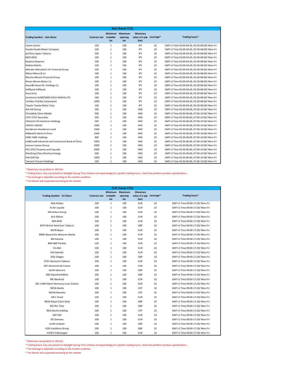|                                                  |                        |                       | <b>Asia Shares CFDs</b>          |                                                            |    |                                              |
|--------------------------------------------------|------------------------|-----------------------|----------------------------------|------------------------------------------------------------|----|----------------------------------------------|
| <b>Trading Symbol: Asia Share</b>                | Contract size tradable | <b>Minimum</b><br>lot | <b>Maximum</b><br>opening<br>lot | <b>Monetary</b><br>value of a pip Leverage*<br>$($ lot $)$ |    | Trading hours*                               |
| Canon-Canon                                      | 100                    | $\mathbf{1}$          | 100                              | JPY                                                        | 10 | GMT+2 Time 02:00-04:30, 05:30-08:00/ Mon-Fri |
| Honda-Honda Motor Company                        | 100                    | $\mathbf{1}$          | 100                              | JPY                                                        | 10 | GMT+2 Time 02:00-04:30, 05:30-08:00/ Mon-Fri |
| JpnTbco-Japan Tobacco                            | 100                    | $\mathbf{1}$          | 100                              | JPY                                                        | 10 | GMT+2 Time 02:00-04:30, 05:30-08:00/ Mon-Fri |
| KDDI-KDDI                                        | 100                    | $\mathbf{1}$          | 100                              | JPY                                                        | 10 | GMT+2 Time 02:00-04:30, 05:30-08:00/ Mon-Fri |
| Keyence-Keyence                                  | 100                    | $\mathbf{1}$          | 100                              | JPY                                                        | 10 | GMT+2 Time 02:00-04:30, 05:30-08:00/ Mon-Fri |
| Makita-Makita                                    | 100                    | $\mathbf{1}$          | 100                              | JPY                                                        | 10 | GMT+2 Time 02:00-04:30, 05:30-08:00/ Mon-Fri |
| Mitsubis-Mitsubishi UFJ Financial Group          | 100                    | $\mathbf{1}$          | 100                              | JPY                                                        | 10 | GMT+2 Time 02:00-04:30, 05:30-08:00/ Mon-Fri |
| Mitsui-Mitsui & Co                               | 100                    | $\mathbf{1}$          | 100                              | JPY                                                        | 10 | GMT+2 Time 02:00-04:30, 05:30-08:00/ Mon-Fri |
| Mizuho-Mizuho Financial Group                    | 100                    | $\mathbf{1}$          | 100                              | JPY                                                        | 10 | GMT+2 Time 02:00-04:30, 05:30-08:00/ Mon-Fri |
| Nissan-Nissan Motor Co                           | 100                    | $\mathbf{1}$          | 100                              | JPY                                                        | 10 | GMT+2 Time 02:00-04:30, 05:30-08:00/ Mon-Fri |
| Seven&I-Seven & i Holdings Co                    | 100                    | $\mathbf{1}$          | 100                              | JPY                                                        | 10 | GMT+2 Time 02:00-04:30, 05:30-08:00/ Mon-Fri |
| Softbank-Softbank                                | 100                    | $\mathbf{1}$          | 100                              | JPY                                                        | 10 | GMT+2 Time 02:00-04:30, 05:30-08:00/ Mon-Fri |
| Sony-Sony                                        | 100                    | $\mathbf{1}$          | 100                              | JPY                                                        | 10 | GMT+2 Time 02:00-04:30, 05:30-08:00/ Mon-Fri |
| Sumitomo-SUMITOMO SHOJI KAISHA,LTD.              | 100                    | $\mathbf{1}$          | 100                              | JPY                                                        | 10 | GMT+2 Time 02:00-04:30, 05:30-08:00/ Mon-Fri |
| Toshiba-Toshiba Corporation                      | 1000                   | $\mathbf{1}$          | 100                              | JPY                                                        | 10 | GMT+2 Time 02:00-04:30, 05:30-08:00/ Mon-Fri |
| Toyota-Toyota Motor Corp                         | 100                    | $\mathbf{1}$          | 100                              | <b>JPY</b>                                                 | 10 | GMT+2 Time 02:00-04:30, 05:30-08:00/ Mon-Fri |
| AIA-AIA Group                                    | 200                    | $\mathbf{1}$          | 100                              | <b>HKD</b>                                                 | 10 | GMT+2 Time 03:30-06:00, 07:00-10:00/ Mon-Fri |
| ChinaMob-China Mobile                            | 500                    | $\mathbf{1}$          | 100                              | <b>HKD</b>                                                 | 10 | GMT+2 Time 03:30-06:00, 07:00-10:00/ Mon-Fri |
| <b>CITIC-CITIC Securities</b>                    | 500                    | $\mathbf{1}$          | 100                              | <b>HKD</b>                                                 | 10 | GMT+2 Time 03:30-06:00, 07:00-10:00/ Mon-Fri |
| <b>CKHutchi-CK Hutchison Holdings</b>            | 500                    | $\mathbf{1}$          | 100                              | <b>HKD</b>                                                 | 10 | GMT+2 Time 03:30-06:00, 07:00-10:00/ Mon-Fri |
| CNOOC-CNOOC                                      | 1000                   | $\mathbf{1}$          | 100                              | <b>HKD</b>                                                 | 10 | GMT+2 Time 03:30-06:00, 07:00-10:00/ Mon-Fri |
| Henderson-Henderson Land                         | 1000                   | $\mathbf{1}$          | 100                              | <b>HKD</b>                                                 | 10 | GMT+2 Time 03:30-06:00, 07:00-10:00/ Mon-Fri |
| HKBankCh-Bank of China                           | 1000                   | $\mathbf{1}$          | 100                              | HKD                                                        | 10 | GMT+2 Time 03:30-06:00, 07:00-10:00/ Mon-Fri |
| <b>HSBC-HSBC Holdings</b>                        | 400                    | $\mathbf{1}$          | 100                              | <b>HKD</b>                                                 | 10 | GMT+2 Time 03:30-06:00, 07:00-10:00/ Mon-Fri |
| Ind&ComB-Industrial and Commercial Bank of China | 1000                   | $\mathbf{1}$          | 100                              | <b>HKD</b>                                                 | 10 | GMT+2 Time 03:30-06:00, 07:00-10:00/ Mon-Fri |
| Lenovo-Lenovo Group                              | 2000                   | $\mathbf{1}$          | 100                              | <b>HKD</b>                                                 | 10 | GMT+2 Time 03:30-06:00, 07:00-10:00/ Mon-Fri |
| PICC-PICC Property and Casualty                  | 2000                   | $\mathbf{1}$          | 100                              | <b>HKD</b>                                                 | 10 | GMT+2 Time 03:30-06:00, 07:00-10:00/ Mon-Fri |
| ShenEnrg-China Shenhua Energy                    | 500                    | $\mathbf{1}$          | 100                              | <b>HKD</b>                                                 | 10 | GMT+2 Time 03:30-06:00, 07:00-10:00/ Mon-Fri |
| <b>SHK-SHK Ppt</b>                               | 1000                   | $\mathbf{1}$          | 100                              | <b>HKD</b>                                                 | 10 | GMT+2 Time 03:30-06:00, 07:00-10:00/ Mon-Fri |
| <b>Tencent-Tencent Holdings</b>                  | 100                    | $\mathbf{1}$          | 100                              | <b>HKD</b>                                                 | 10 | GMT+2 Time 03:30-06:00, 07:00-10:00/ Mon-Fri |

\* Trading hours may vary based on Daylight Saving Time schema correspondingly.For specific trading hours, check the platform product specifications.

\* The leverage is adjusted according to the market condition.

\* The Shares will suspened according to the market.

|                                      |                        |                       | <b>EUR Shares CFDs</b>           |                                                            |    |                                 |
|--------------------------------------|------------------------|-----------------------|----------------------------------|------------------------------------------------------------|----|---------------------------------|
| <b>Trading Symbol: EU Share</b>      | Contract size tradable | <b>Minimum</b><br>lot | <b>Maximum</b><br>opening<br>lot | <b>Monetary</b><br>value of a pip Leverage*<br>$($ lot $)$ |    | Trading hours*                  |
| ADS-Adidas                           | 100                    | $\mathbf{1}$          | 100                              | <b>EUR</b>                                                 | 10 | GMT+2 Time 09:00-17:29/ Mon-Fri |
| Al-Air Liquide                       | 100                    | $\mathbf{1}$          | 100                              | <b>EUR</b>                                                 | 10 | GMT+2 Time 09:00-17:29/ Mon-Fri |
| AIR-Airbus Group                     | 100                    | $\mathbf{1}$          | 100                              | <b>EUR</b>                                                 | 10 | GMT+2 Time 09:00-17:29/ Mon-Fri |
| ALV-Allianz                          | 100                    | $\mathbf{1}$          | 100                              | <b>EUR</b>                                                 | 10 | GMT+2 Time 09:00-17:29/ Mon-Fri |
| <b>BAS-BASF</b>                      | 100                    | $\mathbf{1}$          | 100                              | <b>EUR</b>                                                 | 10 | GMT+2 Time 09:00-17:29/ Mon-Fri |
| <b>BATS-British American Tobacco</b> | 100                    | $\mathbf{1}$          | 100                              | GBP                                                        | 10 | GMT+2 Time 09:00-17:29/ Mon-Fri |
| BAYN-Bayer                           | 100                    | $\mathbf{1}$          | 100                              | <b>EUR</b>                                                 | 10 | GMT+2 Time 09:00-17:29/ Mon-Fri |
| BMW-Bayerische Motoren Werke         | 100                    | $\mathbf{1}$          | 100                              | <b>EUR</b>                                                 | 10 | GMT+2 Time 09:00-17:29/ Mon-Fri |
| <b>BN-Danone</b>                     | 100                    | $\mathbf{1}$          | 100                              | <b>EUR</b>                                                 | 10 | GMT+2 Time 09:00-17:29/ Mon-Fri |
| <b>BNP-BNP Paribas</b>               | 100                    | $\mathbf{1}$          | 100                              | <b>EUR</b>                                                 | 10 | GMT+2 Time 09:00-17:29/ Mon-Fri |
| CS-AXA                               | 100                    | $\mathbf{1}$          | 100                              | <b>EUR</b>                                                 | 10 | GMT+2 Time 09:00-17:29/ Mon-Fri |
| DAI-Daimler                          | 100                    | $\mathbf{1}$          | 100                              | <b>EUR</b>                                                 | 10 | GMT+2 Time 09:00-17:29/ Mon-Fri |
| DGE-Diageo                           | 100                    | $\mathbf{1}$          | 100                              | GBP                                                        | 10 | GMT+2 Time 09:00-17:29/ Mon-Fri |
| DTEL-Deutsche Telekom                | 100                    | $\mathbf{1}$          | 100                              | <b>EUR</b>                                                 | 10 | GMT+2 Time 09:00-17:29/ Mon-Fri |
| EDF-Electricite de France            | 100                    | $\mathbf{1}$          | 100                              | <b>EUR</b>                                                 | 10 | GMT+2 Time 09:00-17:29/ Mon-Fri |
| GLEN-Glencore                        | 100                    | $\mathbf{1}$          | 100                              | GBP                                                        | 10 | GMT+2 Time 09:00-17:29/ Mon-Fri |
| GSK-GlaxoSmithKline                  | 100                    | $\mathbf{1}$          | 100                              | GBP                                                        | 10 | GMT+2 Time 09:00-17:29/ Mon-Fri |
| IBE-Iberdrola                        | 100                    | $\mathbf{1}$          | 100                              | <b>EUR</b>                                                 | 10 | GMT+2 Time 09:00-17:29/ Mon-Fri |
| MC-LVMH Moet Hennessy Louis Vuitton  | 100                    | $\mathbf{1}$          | 100                              | <b>EUR</b>                                                 | 10 | GMT+2 Time 09:00-17:29/ Mon-Fri |
| NESN-Nestle                          | 100                    | $\mathbf{1}$          | 100                              | CHF                                                        | 10 | GMT+2 Time 09:00-17:20/ Mon-Fri |
| NOVN-Novartis                        | 100                    | $\mathbf{1}$          | 100                              | CHF                                                        | 10 | GMT+2 Time 09:00-17:20/ Mon-Fri |
| OR-L'Oreal                           | 100                    | $\mathbf{1}$          | 100                              | <b>EUR</b>                                                 | 10 | GMT+2 Time 09:00-17:29/ Mon-Fri |
| RDSA-Royal Dutch Shell               | 100                    | $\mathbf{1}$          | 100                              | GBP                                                        | 10 | GMT+2 Time 09:00-17:29/ Mon-Fri |
| RIO-Rio Tinto                        | 100                    | $\mathbf{1}$          | 100                              | GBP                                                        | 10 | GMT+2 Time 09:00-17:29/ Mon-Fri |
| ROG-Roche Holding                    | 100                    | $\mathbf{1}$          | 100                              | CHF                                                        | 10 | GMT+2 Time 09:00-17:20/ Mon-Fri |
| SAP-SAP                              | 100                    | $\mathbf{1}$          | 100                              | <b>EUR</b>                                                 | 10 | GMT+2 Time 09:00-17:29/ Mon-Fri |
| SIE-Siemens                          | 100                    | $\mathbf{1}$          | 100                              | <b>EUR</b>                                                 | 10 | GMT+2 Time 09:00-17:29/ Mon-Fri |
| ULVR-Unilever                        | 100                    | $\mathbf{1}$          | 100                              | GBP                                                        | 10 | GMT+2 Time 09:00-17:29/ Mon-Fri |
| VOD-Vodafone Group                   | 100                    | $\mathbf{1}$          | 100                              | GBP                                                        | 10 | GMT+2 Time 09:00-17:29/ Mon-Fri |
| VOW3-Volkswagen                      | 100                    | $\mathbf{1}$          | 100                              | <b>EUR</b>                                                 | 10 | GMT+2 Time 09:00-17:29/ Mon-Fri |

\* Maximum net position is 100 lots

\* Trading hours may vary based on Daylight Saving Time schema correspondingly.For specific trading hours, check the platform product specifications.<br>\* The leverage is adjusted according to the market condition.<br>\* The Share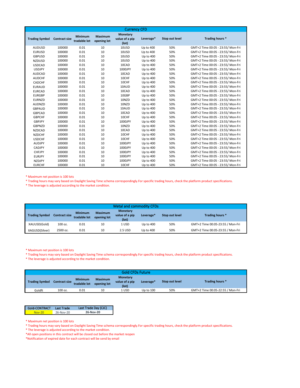|                       |                      |                                |                        | <b>Currency CFD</b>                              |           |                |                                   |
|-----------------------|----------------------|--------------------------------|------------------------|--------------------------------------------------|-----------|----------------|-----------------------------------|
| <b>Trading Symbol</b> | <b>Contract size</b> | <b>Minimum</b><br>tradable lot | Maximum<br>opening lot | <b>Monetary</b><br>value of a pip<br>$($ lot $)$ | Leverage* | Stop out level | Trading hours *                   |
| <b>AUDUSD</b>         | 100000               | 0.01                           | 10                     | 10USD                                            | Up to 400 | 50%            | GMT+2 Time 00:05 - 23:55/ Mon-Fri |
| <b>EURUSD</b>         | 100000               | 0.01                           | 10                     | 10USD                                            | Up to 400 | 50%            | GMT+2 Time 00:05 - 23:55/ Mon-Fri |
| <b>GBPUSD</b>         | 100000               | 0.01                           | 10                     | 10USD                                            | Up to 400 | 50%            | GMT+2 Time 00:05 - 23:55/ Mon-Fri |
| <b>NZDUSD</b>         | 100000               | 0.01                           | 10                     | 10USD                                            | Up to 400 | 50%            | GMT+2 Time 00:05 - 23:55/ Mon-Fri |
| <b>USDCAD</b>         | 100000               | 0.01                           | 10                     | 10CAD                                            | Up to 400 | 50%            | GMT+2 Time 00:05 - 23:55/ Mon-Fri |
| <b>USDJPY</b>         | 100000               | 0.01                           | 10                     | 1000JPY                                          | Up to 400 | 50%            | GMT+2 Time 00:05 - 23:55/ Mon-Fri |
| <b>AUDCAD</b>         | 100000               | 0.01                           | 10                     | 10CAD                                            | Up to 400 | 50%            | GMT+2 Time 00:05 - 23:55/ Mon-Fri |
| <b>AUDCHF</b>         | 100000               | 0.01                           | 10                     | 10CHF                                            | Up to 400 | 50%            | GMT+2 Time 00:05 - 23:55/ Mon-Fri |
| CADCHF                | 100000               | 0.01                           | 10                     | 10CHF                                            | Up to 400 | 50%            | GMT+2 Time 00:05 - 23:55/ Mon-Fri |
| <b>EURAUD</b>         | 100000               | 0.01                           | 10                     | 10AUD                                            | Up to 400 | 50%            | GMT+2 Time 00:05 - 23:55/ Mon-Fri |
| <b>EURCAD</b>         | 100000               | 0.01                           | 10                     | 10CAD                                            | Up to 400 | 50%            | GMT+2 Time 00:05 - 23:55/ Mon-Fri |
| <b>EURGBP</b>         | 100000               | 0.01                           | 10                     | 10GBP                                            | Up to 400 | 50%            | GMT+2 Time 00:05 - 23:55/ Mon-Fri |
| <b>EURNZD</b>         | 100000               | 0.01                           | 10                     | 10NZD                                            | Up to 400 | 50%            | GMT+2 Time 00:05 - 23:55/ Mon-Fri |
| <b>AUDNZD</b>         | 100000               | 0.01                           | 10                     | 10NZD                                            | Up to 400 | 50%            | GMT+2 Time 00:05 - 23:55/ Mon-Fri |
| <b>GBPAUD</b>         | 100000               | 0.01                           | 10                     | 10AUD                                            | Up to 400 | 50%            | GMT+2 Time 00:05 - 23:55/ Mon-Fri |
| <b>GBPCAD</b>         | 100000               | 0.01                           | 10                     | 10CAD                                            | Up to 400 | 50%            | GMT+2 Time 00:05 - 23:55/ Mon-Fri |
| <b>GBPCHF</b>         | 100000               | 0.01                           | 10                     | 10CHF                                            | Up to 400 | 50%            | GMT+2 Time 00:05 - 23:55/ Mon-Fri |
| <b>GBPJPY</b>         | 100000               | 0.01                           | 10                     | 1000JPY                                          | Up to 400 | 50%            | GMT+2 Time 00:05 - 23:55/ Mon-Fri |
| <b>GBPNZD</b>         | 100000               | 0.01                           | 10                     | 10NZD                                            | Up to 400 | 50%            | GMT+2 Time 00:05 - 23:55/ Mon-Fri |
| <b>NZDCAD</b>         | 100000               | 0.01                           | 10                     | 10CAD                                            | Up to 400 | 50%            | GMT+2 Time 00:05 - 23:55/ Mon-Fri |
| <b>NZDCHF</b>         | 100000               | 0.01                           | 10                     | 10CHF                                            | Up to 400 | 50%            | GMT+2 Time 00:05 - 23:55/ Mon-Fri |
| <b>USDCHF</b>         | 100000               | 0.01                           | 10                     | 10CHF                                            | Up to 400 | 50%            | GMT+2 Time 00:05 - 23:55/ Mon-Fri |
| <b>AUDJPY</b>         | 100000               | 0.01                           | 10                     | 1000JPY                                          | Up to 400 | 50%            | GMT+2 Time 00:05 - 23:55/ Mon-Fri |
| CADJPY                | 100000               | 0.01                           | 10                     | 1000JPY                                          | Up to 400 | 50%            | GMT+2 Time 00:05 - 23:55/ Mon-Fri |
| <b>CHFJPY</b>         | 100000               | 0.01                           | 10                     | 1000JPY                                          | Up to 400 | 50%            | GMT+2 Time 00:05 - 23:55/ Mon-Fri |
| <b>EURJPY</b>         | 100000               | 0.01                           | 10                     | 1000JPY                                          | Up to 400 | 50%            | GMT+2 Time 00:05 - 23:55/ Mon-Fri |
| <b>NZDJPY</b>         | 100000               | 0.01                           | 10                     | 1000JPY                                          | Up to 400 | 50%            | GMT+2 Time 00:05 - 23:55/ Mon-Fri |
| <b>EURCHF</b>         | 100000               | 0.01                           | 10                     | 10CHF                                            | Up to 400 | 50%            | GMT+2 Time 00:05 - 23:55/ Mon-Fri |

\* Trading hours may vary based on Daylight Saving Time schema correspondingly.For specific trading hours, check the platform product specifications. \* The leverage is adjusted according to the market condition.

| <b>Metal and commodity CFDs</b> |                      |                                |                               |                                            |           |                |                                  |  |
|---------------------------------|----------------------|--------------------------------|-------------------------------|--------------------------------------------|-----------|----------------|----------------------------------|--|
| <b>Trading Symbol</b>           | <b>Contract size</b> | <b>Minimum</b><br>tradable lot | <b>Maximum</b><br>opening lot | <b>Monetary</b><br>value of a pip<br>(lot) | Leverage* | Stop out level | Trading hours *                  |  |
| XAUUSD(Gold)                    | 100 oz.              | 0.01                           | 10                            | 1 USD                                      | Up to 400 | 50%            | GMT+2 Time 00:05-23:55 / Mon-Fri |  |
| XAGUSD(Silver)                  | 2500 oz.             | 0.01                           | 10                            | 2.5 USD                                    | Up to 400 | 50%            | GMT+2 Time 00:05-23:55 / Mon-Fri |  |

\* Maximum net position is 100 lots

\* Trading hours may vary based on Daylight Saving Time schema correspondingly.For specific trading hours, check the platform product specifications.

\* The leverage is adjusted according to the market condition.

| <b>Gold CFDs Future</b> |                      |                                |                               |                                            |           |                |                                  |
|-------------------------|----------------------|--------------------------------|-------------------------------|--------------------------------------------|-----------|----------------|----------------------------------|
| <b>Trading Symbol</b>   | <b>Contract size</b> | <b>Minimum</b><br>tradable lot | <b>Maximum</b><br>opening lot | <b>Monetary</b><br>value of a pip<br>(lot) | Leverage* | Stop out level | Trading hours *                  |
| Goldft                  | 100 oz.              | 0.01                           | 10                            | l usd                                      | Up to 100 | 50%            | GMT+2 Time 00:05-22:55 / Mon-Fri |

| Gold-CONTRACT | Last Trade | Last Trade Day (CJC) |
|---------------|------------|----------------------|
| Nov-20.       | 26-Nov-20  | 26-Nov-20            |

<sup>\*</sup> Maximum net position is 100 lots

\*All open positions in this contract will be closed out before the market reopen

\*Notification of expired date for each contract will be send by email

<sup>\*</sup> Trading hours may vary based on Daylight Saving Time schema correspondingly.For specific trading hours, check the platform product specifications.

<sup>\*</sup> The leverage is adjusted according to the market condition.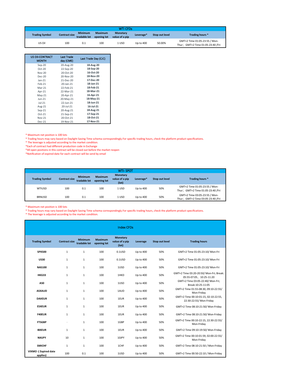|                       |                      |                                |                               | <b>WTI CFDs</b>                   |                       |                       |                                                                    |
|-----------------------|----------------------|--------------------------------|-------------------------------|-----------------------------------|-----------------------|-----------------------|--------------------------------------------------------------------|
| <b>Trading Symbol</b> | <b>Contract size</b> | <b>Minimum</b><br>tradable lot | <b>Maximum</b><br>opening lot | <b>Monetary</b><br>value of a pip | Leverage <sup>*</sup> | <b>Stop out level</b> | Trading hours *                                                    |
| US Oil                | 100                  | 0.1                            | 100                           | 1 USD                             | Up to 400             | 50.00%                | GMT+2 Time 01:05-23:55 / Mon-<br>Thur; GMT+2 Time 01:05-23:40 /Fri |

| <b>US OII-CONTRACT</b><br><b>MONTH</b> | <b>Last Trade</b><br>day (CME) | Last Trade Day (CJC) |
|----------------------------------------|--------------------------------|----------------------|
| Sep-20                                 | 20-Aug-20                      | 18-Aug-20            |
| $Oct-20$                               | 22-Sep-20                      | 18-Sep-20            |
| $Nov-20$                               | 20-Oct-20                      | 16-Oct-20            |
| Dec-20                                 | 20-Nov-20                      | 18-Nov-20            |
| $Jan-21$                               | 21-Dec-20                      | 17-Dec-20            |
| $Feh-21$                               | 20-Jan-21                      | 18-Jan-21            |
| Mar-21                                 | 22-Feb-21                      | 18-Feb-21            |
| Apr-21                                 | 22-Mar-21                      | 18-Mar-21            |
| $May-21$                               | 20-Apr-21                      | 16-Apr-21            |
| $Jun-21$                               | 20-May-21                      | 18-May-21            |
| $ u -21$                               | 22-Jun-21                      | 18-Jun-21            |
| Aug-21                                 | 20-Jul-21                      | 16-Jul-21            |
| $Sep-21$                               | 20-Aug-21                      | 18-Aug-21            |
| $Oct-21$                               | 21-Sep-21                      | 17-Sep-21            |
| <b>Nov-21</b>                          | 20-Oct-21                      | 18-Oct-21            |
| Dec-21                                 | 19-Nov-21                      | 17-Nov-21            |

\* Trading hours may vary based on Daylight Saving Time schema correspondingly.For specific trading hours, check the platform product specifications.

\* The leverage is adjusted according to the market condition.

\*Each of contract had different production code in Exchange

\*All open positions in this contract will be closed out before the market reopen

\*Notification of expired date for each contract will be send by email

|                       |                      |                                |                               | <b>WTI-SPOT</b>                            |           |                       |                                                                    |
|-----------------------|----------------------|--------------------------------|-------------------------------|--------------------------------------------|-----------|-----------------------|--------------------------------------------------------------------|
| <b>Trading Symbol</b> | <b>Contract size</b> | <b>Minimum</b><br>tradable lot | <b>Maximum</b><br>opening lot | <b>Monetary</b><br>value of a pip<br>(lot) | Leverage* | <b>Stop out level</b> | Trading hours *                                                    |
| WTIUSD                | 100                  | 0.1                            | 100                           | 1 USD                                      | Up to 400 | 50%                   | GMT+2 Time 01:05-23:55 / Mon-<br>Thur; GMT+2 Time 01:05-23:40 /Fri |
| <b>BRNUSD</b>         | 100                  | 0.1                            | 100                           | 1 USD                                      | Up to 400 | 50%                   | GMT+2 Time 03:05-23:55 / Mon-<br>Thur; GMT+2 Time 03:05-23:40 /Fri |

\* Maximum net position is 100 lots

\* Trading hours may vary based on Daylight Saving Time schema correspondingly.For specific trading hours, check the platform product specifications. \* The leverage is adjusted according to the market condition.

|                                   |                      |                                |                               | <b>Index CFDs</b>                                |           |                       |                                                                     |
|-----------------------------------|----------------------|--------------------------------|-------------------------------|--------------------------------------------------|-----------|-----------------------|---------------------------------------------------------------------|
| <b>Trading Symbol</b>             | <b>Contract size</b> | <b>Minimum</b><br>tradable lot | <b>Maximum</b><br>opening lot | <b>Monetary</b><br>value of a pip<br>$($ lot $)$ | Leverage  | <b>Stop out level</b> | <b>Trading hours</b>                                                |
| <b>SPX500</b>                     | $\mathbf{1}$         | $\mathbf{1}$                   | 100                           | 0.1 <sub>USD</sub>                               | Up to 400 | 50%                   | GMT+2 Time 01:05-23:10/ Mon-Fri                                     |
| <b>US30</b>                       | $\mathbf{1}$         | $\mathbf{1}$                   | 100                           | 0.1 <sub>USD</sub>                               | Up to 400 | 50%                   | GMT+2 Time 01:05-23:10/ Mon-Fri                                     |
| <b>NAS100</b>                     | $\mathbf{1}$         | $\mathbf{1}$                   | 100                           | 1USD                                             | Up to 400 | 50%                   | GMT+2 Time 01:05-23:10/ Mon-Fri                                     |
| HKG33                             | 1                    | $\mathbf{1}$                   | 100                           | 1HKD                                             | Up to 400 | 50%                   | GMT+2 Time 03:20-20:50/ Mon-Fri; Break:<br>05:55-07:05, 10:25-11:20 |
| A50                               | $\mathbf{1}$         | $\mathbf{1}$                   | 100                           | 1USD                                             | Up to 400 | 50%                   | GMT+2 Time 03:05-22:40/ Mon-Fri;<br>Break: 10:25-11:05              |
| <b>ASXAUD</b>                     | $\mathbf{1}$         | $\mathbf{1}$                   | 100                           | 1AUD                                             | Up to 400 | 50%                   | GMT+2 Time 01:55-08:30, 09:10-22:55/<br>Mon-Friday                  |
| <b>DAXEUR</b>                     | $\mathbf{1}$         | $\mathbf{1}$                   | 100                           | 1EUR                                             | Up to 400 | 50%                   | GMT+2 Time 00:10-01:15, 02:10-22:55,<br>22:30-22:55/ Mon-Friday     |
| <b>ESXEUR</b>                     | $\mathbf{1}$         | 1                              | 100                           | 1EUR                                             | Up to 400 | 50%                   | GMT+2 Time 08:10-21:50/ Mon-Friday                                  |
| <b>F40EUR</b>                     | $\mathbf{1}$         | $\mathbf{1}$                   | 100                           | 1EUR                                             | Up to 400 | 50%                   | GMT+2 Time 08:10-21:50/ Mon-Friday                                  |
| <b>FTSGBP</b>                     | $\cdot$              | $\mathbf{1}$                   | 100                           | 1GBP                                             | Up to 400 | 50%                   | GMT+2 Time 00:10-22:15, 22:30-22:55/<br>Mon-Friday                  |
| <b>IBXEUR</b>                     | $\mathbf{1}$         | $\mathbf{1}$                   | 100                           | 1EUR                                             | Up to 400 | 50%                   | GMT+2 Time 09:10-19:50/ Mon-Friday                                  |
| <b>NIKJPY</b>                     | 10                   | $\mathbf{1}$                   | 100                           | 10JPY                                            | Up to 400 | 50%                   | GMT+2 Time 00:10-01:59, 02:00-22:55/<br>Mon-Friday                  |
| <b>SMICHF</b>                     | $\mathbf{1}$         | $\mathbf{1}$                   | 100                           | 1CHF                                             | Up to 400 | 50%                   | GMT+2 Time 08:10-21:50 / Mon-Friday                                 |
| VIXMO - (Expired date<br>applies) | 100                  | 0.1                            | 100                           | 1USD                                             | Up to 400 | 50%                   | GMT+2 Time 00:50-22:10 / Mon-Friday                                 |